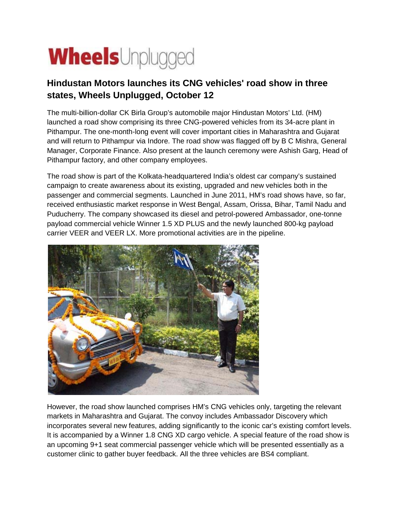

## **Hindustan Motors launches its CNG vehicles' road show in three states, Wheels Unplugged, October 12**

The multi-billion-dollar CK Birla Group's automobile major Hindustan Motors' Ltd. (HM) launched a road show comprising its three CNG-powered vehicles from its 34-acre plant in Pithampur. The one-month-long event will cover important cities in Maharashtra and Gujarat and will return to Pithampur via Indore. The road show was flagged off by B C Mishra, General Manager, Corporate Finance. Also present at the launch ceremony were Ashish Garg, Head of Pithampur factory, and other company employees.

The road show is part of the Kolkata-headquartered India's oldest car company's sustained campaign to create awareness about its existing, upgraded and new vehicles both in the passenger and commercial segments. Launched in June 2011, HM's road shows have, so far, received enthusiastic market response in West Bengal, Assam, Orissa, Bihar, Tamil Nadu and Puducherry. The company showcased its diesel and petrol-powered Ambassador, one-tonne payload commercial vehicle Winner 1.5 XD PLUS and the newly launched 800-kg payload carrier VEER and VEER LX. More promotional activities are in the pipeline.



However, the road show launched comprises HM's CNG vehicles only, targeting the relevant markets in Maharashtra and Gujarat. The convoy includes Ambassador Discovery which incorporates several new features, adding significantly to the iconic car's existing comfort levels. It is accompanied by a Winner 1.8 CNG XD cargo vehicle. A special feature of the road show is an upcoming 9+1 seat commercial passenger vehicle which will be presented essentially as a customer clinic to gather buyer feedback. All the three vehicles are BS4 compliant.